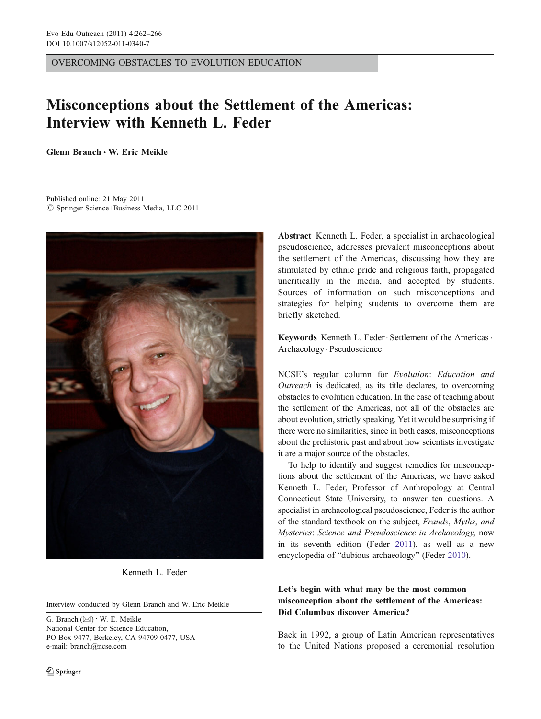OVERCOMING OBSTACLES TO EVOLUTION EDUCATION

# Misconceptions about the Settlement of the Americas: Interview with Kenneth L. Feder

Glenn Branch & W. Eric Meikle

Published online: 21 May 2011  $©$  Springer Science+Business Media, LLC 2011



Kenneth L. Feder

Interview conducted by Glenn Branch and W. Eric Meikle

G. Branch  $(\boxtimes) \cdot W$ . E. Meikle National Center for Science Education, PO Box 9477, Berkeley, CA 94709-0477, USA e-mail: branch@ncse.com

Abstract Kenneth L. Feder, a specialist in archaeological pseudoscience, addresses prevalent misconceptions about the settlement of the Americas, discussing how they are stimulated by ethnic pride and religious faith, propagated uncritically in the media, and accepted by students. Sources of information on such misconceptions and strategies for helping students to overcome them are briefly sketched.

Keywords Kenneth L. Feder · Settlement of the Americas · Archaeology . Pseudoscience

NCSE's regular column for Evolution: Education and Outreach is dedicated, as its title declares, to overcoming obstacles to evolution education. In the case of teaching about the settlement of the Americas, not all of the obstacles are about evolution, strictly speaking. Yet it would be surprising if there were no similarities, since in both cases, misconceptions about the prehistoric past and about how scientists investigate it are a major source of the obstacles.

To help to identify and suggest remedies for misconceptions about the settlement of the Americas, we have asked Kenneth L. Feder, Professor of Anthropology at Central Connecticut State University, to answer ten questions. A specialist in archaeological pseudoscience, Feder is the author of the standard textbook on the subject, Frauds, Myths, and Mysteries: Science and Pseudoscience in Archaeology, now in its seventh edition (Feder [2011](#page-4-0)), as well as a new encyclopedia of "dubious archaeology" (Feder [2010\)](#page-4-0).

### Let's begin with what may be the most common misconception about the settlement of the Americas: Did Columbus discover America?

Back in 1992, a group of Latin American representatives to the United Nations proposed a ceremonial resolution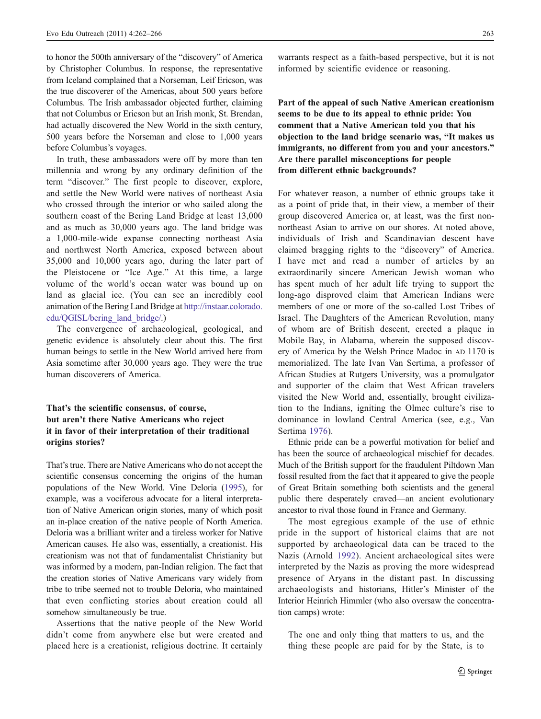to honor the 500th anniversary of the "discovery" of America by Christopher Columbus. In response, the representative from Iceland complained that a Norseman, Leif Ericson, was the true discoverer of the Americas, about 500 years before Columbus. The Irish ambassador objected further, claiming that not Columbus or Ericson but an Irish monk, St. Brendan, had actually discovered the New World in the sixth century, 500 years before the Norseman and close to 1,000 years before Columbus's voyages.

In truth, these ambassadors were off by more than ten millennia and wrong by any ordinary definition of the term "discover." The first people to discover, explore, and settle the New World were natives of northeast Asia who crossed through the interior or who sailed along the southern coast of the Bering Land Bridge at least 13,000 and as much as 30,000 years ago. The land bridge was a 1,000-mile-wide expanse connecting northeast Asia and northwest North America, exposed between about 35,000 and 10,000 years ago, during the later part of the Pleistocene or "Ice Age." At this time, a large volume of the world's ocean water was bound up on land as glacial ice. (You can see an incredibly cool animation of the Bering Land Bridge at [http://instaar.colorado.](http://instaar.colorado.edu/QGISL/bering_land_bridge/) [edu/QGISL/bering\\_land\\_bridge/](http://instaar.colorado.edu/QGISL/bering_land_bridge/).)

The convergence of archaeological, geological, and genetic evidence is absolutely clear about this. The first human beings to settle in the New World arrived here from Asia sometime after 30,000 years ago. They were the true human discoverers of America.

## That's the scientific consensus, of course, but aren't there Native Americans who reject it in favor of their interpretation of their traditional origins stories?

That's true. There are Native Americans who do not accept the scientific consensus concerning the origins of the human populations of the New World. Vine Deloria [\(1995\)](#page-4-0), for example, was a vociferous advocate for a literal interpretation of Native American origin stories, many of which posit an in-place creation of the native people of North America. Deloria was a brilliant writer and a tireless worker for Native American causes. He also was, essentially, a creationist. His creationism was not that of fundamentalist Christianity but was informed by a modern, pan-Indian religion. The fact that the creation stories of Native Americans vary widely from tribe to tribe seemed not to trouble Deloria, who maintained that even conflicting stories about creation could all somehow simultaneously be true.

Assertions that the native people of the New World didn't come from anywhere else but were created and placed here is a creationist, religious doctrine. It certainly

warrants respect as a faith-based perspective, but it is not informed by scientific evidence or reasoning.

Part of the appeal of such Native American creationism seems to be due to its appeal to ethnic pride: You comment that a Native American told you that his objection to the land bridge scenario was, "It makes us immigrants, no different from you and your ancestors." Are there parallel misconceptions for people from different ethnic backgrounds?

For whatever reason, a number of ethnic groups take it as a point of pride that, in their view, a member of their group discovered America or, at least, was the first nonnortheast Asian to arrive on our shores. At noted above, individuals of Irish and Scandinavian descent have claimed bragging rights to the "discovery" of America. I have met and read a number of articles by an extraordinarily sincere American Jewish woman who has spent much of her adult life trying to support the long-ago disproved claim that American Indians were members of one or more of the so-called Lost Tribes of Israel. The Daughters of the American Revolution, many of whom are of British descent, erected a plaque in Mobile Bay, in Alabama, wherein the supposed discovery of America by the Welsh Prince Madoc in AD 1170 is memorialized. The late Ivan Van Sertima, a professor of African Studies at Rutgers University, was a promulgator and supporter of the claim that West African travelers visited the New World and, essentially, brought civilization to the Indians, igniting the Olmec culture's rise to dominance in lowland Central America (see, e.g., Van Sertima [1976\)](#page-4-0).

Ethnic pride can be a powerful motivation for belief and has been the source of archaeological mischief for decades. Much of the British support for the fraudulent Piltdown Man fossil resulted from the fact that it appeared to give the people of Great Britain something both scientists and the general public there desperately craved—an ancient evolutionary ancestor to rival those found in France and Germany.

The most egregious example of the use of ethnic pride in the support of historical claims that are not supported by archaeological data can be traced to the Nazis (Arnold [1992\)](#page-4-0). Ancient archaeological sites were interpreted by the Nazis as proving the more widespread presence of Aryans in the distant past. In discussing archaeologists and historians, Hitler's Minister of the Interior Heinrich Himmler (who also oversaw the concentration camps) wrote:

The one and only thing that matters to us, and the thing these people are paid for by the State, is to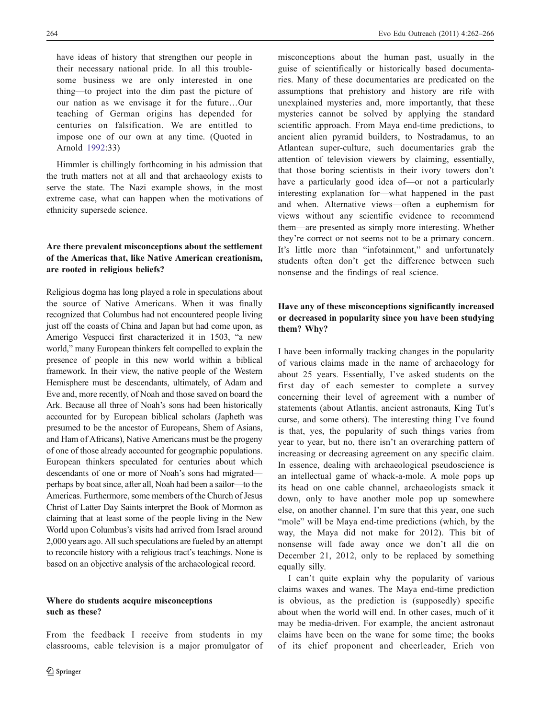have ideas of history that strengthen our people in their necessary national pride. In all this troublesome business we are only interested in one thing—to project into the dim past the picture of our nation as we envisage it for the future…Our teaching of German origins has depended for centuries on falsification. We are entitled to impose one of our own at any time. (Quoted in Arnold [1992:](#page-4-0)33)

Himmler is chillingly forthcoming in his admission that the truth matters not at all and that archaeology exists to serve the state. The Nazi example shows, in the most extreme case, what can happen when the motivations of ethnicity supersede science.

#### Are there prevalent misconceptions about the settlement of the Americas that, like Native American creationism, are rooted in religious beliefs?

Religious dogma has long played a role in speculations about the source of Native Americans. When it was finally recognized that Columbus had not encountered people living just off the coasts of China and Japan but had come upon, as Amerigo Vespucci first characterized it in 1503, "a new world," many European thinkers felt compelled to explain the presence of people in this new world within a biblical framework. In their view, the native people of the Western Hemisphere must be descendants, ultimately, of Adam and Eve and, more recently, of Noah and those saved on board the Ark. Because all three of Noah's sons had been historically accounted for by European biblical scholars (Japheth was presumed to be the ancestor of Europeans, Shem of Asians, and Ham of Africans), Native Americans must be the progeny of one of those already accounted for geographic populations. European thinkers speculated for centuries about which descendants of one or more of Noah's sons had migrated perhaps by boat since, after all, Noah had been a sailor—to the Americas. Furthermore, some members of the Church of Jesus Christ of Latter Day Saints interpret the Book of Mormon as claiming that at least some of the people living in the New World upon Columbus's visits had arrived from Israel around 2,000 years ago. All such speculations are fueled by an attempt to reconcile history with a religious tract's teachings. None is based on an objective analysis of the archaeological record.

#### Where do students acquire misconceptions such as these?

From the feedback I receive from students in my classrooms, cable television is a major promulgator of

misconceptions about the human past, usually in the guise of scientifically or historically based documentaries. Many of these documentaries are predicated on the assumptions that prehistory and history are rife with unexplained mysteries and, more importantly, that these mysteries cannot be solved by applying the standard scientific approach. From Maya end-time predictions, to ancient alien pyramid builders, to Nostradamus, to an Atlantean super-culture, such documentaries grab the attention of television viewers by claiming, essentially, that those boring scientists in their ivory towers don't have a particularly good idea of—or not a particularly interesting explanation for—what happened in the past and when. Alternative views—often a euphemism for views without any scientific evidence to recommend them—are presented as simply more interesting. Whether they're correct or not seems not to be a primary concern. It's little more than "infotainment," and unfortunately students often don't get the difference between such nonsense and the findings of real science.

## Have any of these misconceptions significantly increased or decreased in popularity since you have been studying them? Why?

I have been informally tracking changes in the popularity of various claims made in the name of archaeology for about 25 years. Essentially, I've asked students on the first day of each semester to complete a survey concerning their level of agreement with a number of statements (about Atlantis, ancient astronauts, King Tut's curse, and some others). The interesting thing I've found is that, yes, the popularity of such things varies from year to year, but no, there isn't an overarching pattern of increasing or decreasing agreement on any specific claim. In essence, dealing with archaeological pseudoscience is an intellectual game of whack-a-mole. A mole pops up its head on one cable channel, archaeologists smack it down, only to have another mole pop up somewhere else, on another channel. I'm sure that this year, one such "mole" will be Maya end-time predictions (which, by the way, the Maya did not make for 2012). This bit of nonsense will fade away once we don't all die on December 21, 2012, only to be replaced by something equally silly.

I can't quite explain why the popularity of various claims waxes and wanes. The Maya end-time prediction is obvious, as the prediction is (supposedly) specific about when the world will end. In other cases, much of it may be media-driven. For example, the ancient astronaut claims have been on the wane for some time; the books of its chief proponent and cheerleader, Erich von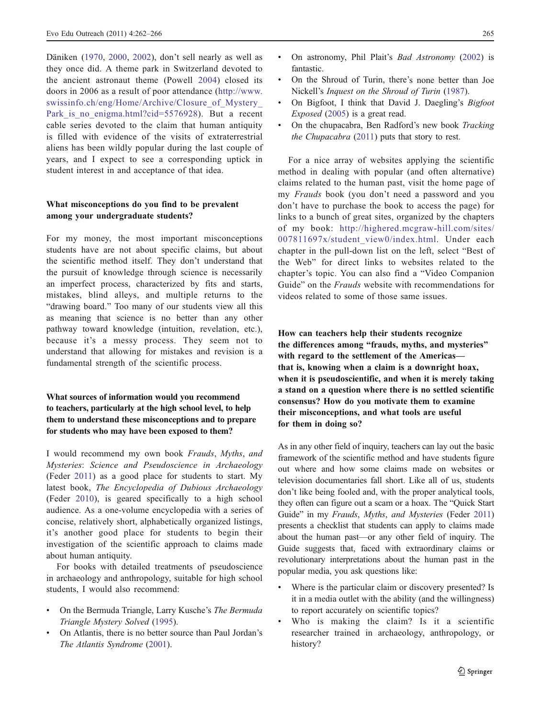Däniken ([1970](#page-4-0), [2000,](#page-4-0) [2002\)](#page-4-0), don't sell nearly as well as they once did. A theme park in Switzerland devoted to the ancient astronaut theme (Powell [2004](#page-4-0)) closed its doors in 2006 as a result of poor attendance [\(http://www.](http://www.swissinfo.ch/eng/Home/Archive/Closure_of_Mystery_Park_is_no_enigma.html?cid=5576928) [swissinfo.ch/eng/Home/Archive/Closure\\_of\\_Mystery\\_](http://www.swissinfo.ch/eng/Home/Archive/Closure_of_Mystery_Park_is_no_enigma.html?cid=5576928) Park is no enigma.html?cid=5576928). But a recent cable series devoted to the claim that human antiquity is filled with evidence of the visits of extraterrestrial aliens has been wildly popular during the last couple of years, and I expect to see a corresponding uptick in student interest in and acceptance of that idea.

#### What misconceptions do you find to be prevalent among your undergraduate students?

For my money, the most important misconceptions students have are not about specific claims, but about the scientific method itself. They don't understand that the pursuit of knowledge through science is necessarily an imperfect process, characterized by fits and starts, mistakes, blind alleys, and multiple returns to the "drawing board." Too many of our students view all this as meaning that science is no better than any other pathway toward knowledge (intuition, revelation, etc.), because it's a messy process. They seem not to understand that allowing for mistakes and revision is a fundamental strength of the scientific process.

#### What sources of information would you recommend to teachers, particularly at the high school level, to help them to understand these misconceptions and to prepare for students who may have been exposed to them?

I would recommend my own book Frauds, Myths, and Mysteries: Science and Pseudoscience in Archaeology (Feder [2011\)](#page-4-0) as a good place for students to start. My latest book, The Encyclopedia of Dubious Archaeology (Feder [2010\)](#page-4-0), is geared specifically to a high school audience. As a one-volume encyclopedia with a series of concise, relatively short, alphabetically organized listings, it's another good place for students to begin their investigation of the scientific approach to claims made about human antiquity.

For books with detailed treatments of pseudoscience in archaeology and anthropology, suitable for high school students, I would also recommend:

- On the Bermuda Triangle, Larry Kusche's The Bermuda Triangle Mystery Solved ([1995\)](#page-4-0).
- & On Atlantis, there is no better source than Paul Jordan's The Atlantis Syndrome ([2001\)](#page-4-0).
- & On astronomy, Phil Plait's Bad Astronomy [\(2002](#page-4-0)) is fantastic.
- & On the Shroud of Turin, there's none better than Joe Nickell's Inquest on the Shroud of Turin ([1987\)](#page-4-0).
- On Bigfoot, I think that David J. Daegling's Bigfoot Exposed [\(2005](#page-4-0)) is a great read.
- On the chupacabra, Ben Radford's new book *Tracking* the Chupacabra ([2011](#page-4-0)) puts that story to rest.

For a nice array of websites applying the scientific method in dealing with popular (and often alternative) claims related to the human past, visit the home page of my Frauds book (you don't need a password and you don't have to purchase the book to access the page) for links to a bunch of great sites, organized by the chapters of my book: [http://highered.mcgraw-hill.com/sites/](http://highered.mcgraw-hill.com/sites/007811697x/student_view0/index.html) [007811697x/student\\_view0/index.html.](http://highered.mcgraw-hill.com/sites/007811697x/student_view0/index.html) Under each chapter in the pull-down list on the left, select "Best of the Web" for direct links to websites related to the chapter's topic. You can also find a "Video Companion Guide" on the Frauds website with recommendations for videos related to some of those same issues.

How can teachers help their students recognize the differences among "frauds, myths, and mysteries" with regard to the settlement of the Americas that is, knowing when a claim is a downright hoax, when it is pseudoscientific, and when it is merely taking a stand on a question where there is no settled scientific consensus? How do you motivate them to examine their misconceptions, and what tools are useful for them in doing so?

As in any other field of inquiry, teachers can lay out the basic framework of the scientific method and have students figure out where and how some claims made on websites or television documentaries fall short. Like all of us, students don't like being fooled and, with the proper analytical tools, they often can figure out a scam or a hoax. The "Quick Start Guide" in my Frauds, Myths, and Mysteries (Feder [2011](#page-4-0)) presents a checklist that students can apply to claims made about the human past—or any other field of inquiry. The Guide suggests that, faced with extraordinary claims or revolutionary interpretations about the human past in the popular media, you ask questions like:

- Where is the particular claim or discovery presented? Is it in a media outlet with the ability (and the willingness) to report accurately on scientific topics?
- Who is making the claim? Is it a scientific researcher trained in archaeology, anthropology, or history?